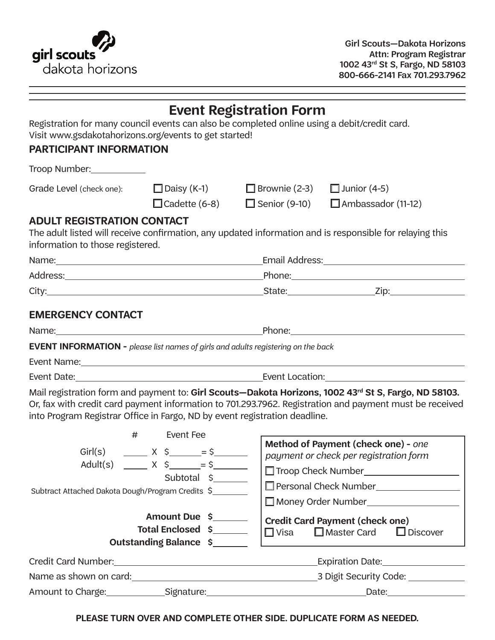

|                                                                                                                                 |                                                                     | <b>Event Registration Form</b>            |                                                                                                                                                                                                                             |  |  |
|---------------------------------------------------------------------------------------------------------------------------------|---------------------------------------------------------------------|-------------------------------------------|-----------------------------------------------------------------------------------------------------------------------------------------------------------------------------------------------------------------------------|--|--|
| Registration for many council events can also be completed online using a debit/credit card.                                    |                                                                     |                                           |                                                                                                                                                                                                                             |  |  |
| Visit www.gsdakotahorizons.org/events to get started!<br>PARTICIPANT INFORMATION                                                |                                                                     |                                           |                                                                                                                                                                                                                             |  |  |
|                                                                                                                                 |                                                                     |                                           |                                                                                                                                                                                                                             |  |  |
| Troop Number:____________                                                                                                       |                                                                     |                                           |                                                                                                                                                                                                                             |  |  |
| Grade Level (check one): □ Daisy (K-1)                                                                                          |                                                                     | $\Box$ Brownie (2-3) $\Box$ Junior (4-5)  |                                                                                                                                                                                                                             |  |  |
|                                                                                                                                 |                                                                     | $\Box$ Cadette (6-8) $\Box$ Senior (9-10) | $\Box$ Ambassador (11-12)                                                                                                                                                                                                   |  |  |
| <b>ADULT REGISTRATION CONTACT</b><br>information to those registered.                                                           |                                                                     |                                           | The adult listed will receive confirmation, any updated information and is responsible for relaying this                                                                                                                    |  |  |
|                                                                                                                                 |                                                                     |                                           |                                                                                                                                                                                                                             |  |  |
|                                                                                                                                 |                                                                     |                                           |                                                                                                                                                                                                                             |  |  |
|                                                                                                                                 |                                                                     |                                           |                                                                                                                                                                                                                             |  |  |
| <b>EMERGENCY CONTACT</b>                                                                                                        |                                                                     |                                           |                                                                                                                                                                                                                             |  |  |
|                                                                                                                                 |                                                                     |                                           |                                                                                                                                                                                                                             |  |  |
| <b>EVENT INFORMATION -</b> please list names of girls and adults registering on the back                                        |                                                                     |                                           |                                                                                                                                                                                                                             |  |  |
|                                                                                                                                 |                                                                     |                                           |                                                                                                                                                                                                                             |  |  |
|                                                                                                                                 |                                                                     |                                           |                                                                                                                                                                                                                             |  |  |
| into Program Registrar Office in Fargo, ND by event registration deadline.                                                      |                                                                     |                                           | Mail registration form and payment to: Girl Scouts—Dakota Horizons, 1002 43 <sup>rd</sup> St S, Fargo, ND 58103.<br>Or, fax with credit card payment information to 701.293.7962. Registration and payment must be received |  |  |
| Event Fee<br>#<br>Adult(s) ______ $X \S$ _____= $S$ _______<br>Subtotal \$<br>Subtract Attached Dakota Dough/Program Credits \$ |                                                                     |                                           | Method of Payment (check one) - one<br>payment or check per registration form<br>Troop Check Number___________________<br>Personal Check Number_________________<br>Money Order Number                                      |  |  |
|                                                                                                                                 | Amount Due \$<br>Total Enclosed \$<br><b>Outstanding Balance \$</b> | $\square$ Visa                            | <b>Credit Card Payment (check one)</b><br>$\square$ Master Card<br>$\Box$ Discover                                                                                                                                          |  |  |
|                                                                                                                                 |                                                                     |                                           |                                                                                                                                                                                                                             |  |  |
|                                                                                                                                 |                                                                     |                                           |                                                                                                                                                                                                                             |  |  |
|                                                                                                                                 |                                                                     |                                           |                                                                                                                                                                                                                             |  |  |

**PLEASE TURN OVER AND COMPLETE OTHER SIDE. DUPLICATE FORM AS NEEDED.**